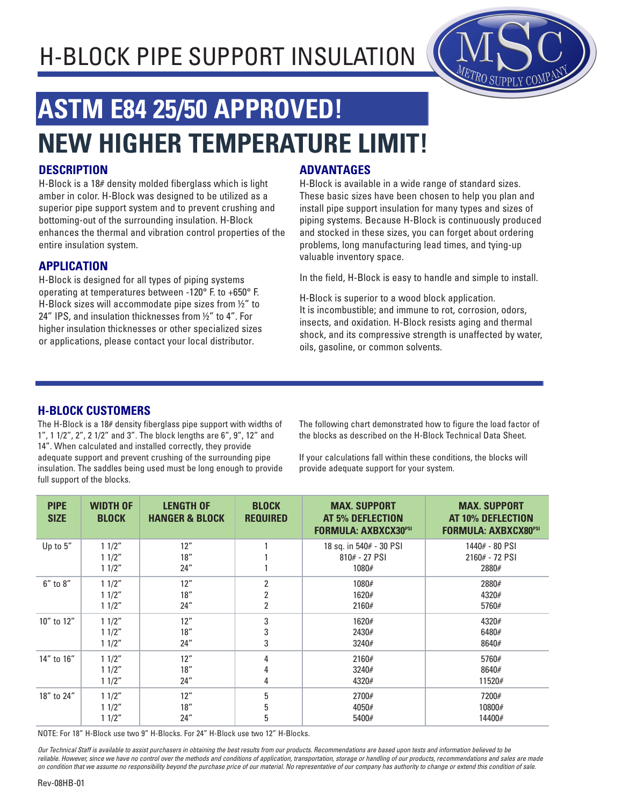## H-BLOCK PIPE SUPPORT INSULATION



# **ASTM E84 25/50 APPROVED! NEW HIGHER TEMPERATURE LIMIT!**

#### **DESCRIPTION**

H-Block is a 18# density molded fiberglass which is light amber in color. H-Block was designed to be utilized as a superior pipe support system and to prevent crushing and bottoming-out of the surrounding insulation. H-Block enhances the thermal and vibration control properties of the entire insulation system.

#### **APPLICATION**

H-Block is designed for all types of piping systems operating at temperatures between -120° F. to +650° F. H-Block sizes will accommodate pipe sizes from ½" to 24" IPS, and insulation thicknesses from ½" to 4". For higher insulation thicknesses or other specialized sizes or applications, please contact your local distributor.

#### **ADVANTAGES**

H-Block is available in a wide range of standard sizes. These basic sizes have been chosen to help you plan and install pipe support insulation for many types and sizes of piping systems. Because H-Block is continuously produced and stocked in these sizes, you can forget about ordering problems, long manufacturing lead times, and tying-up valuable inventory space.

In the field, H-Block is easy to handle and simple to install.

H-Block is superior to a wood block application. It is incombustible; and immune to rot, corrosion, odors, insects, and oxidation. H-Block resists aging and thermal shock, and its compressive strength is unaffected by water, oils, gasoline, or common solvents.

#### **H-BLOCK CUSTOMERS**

The H-Block is a 18# density fiberglass pipe support with widths of 1", 1 1/2", 2", 2 1/2" and 3". The block lengths are 6", 9", 12" and 14". When calculated and installed correctly, they provide adequate support and prevent crushing of the surrounding pipe insulation. The saddles being used must be long enough to provide full support of the blocks.

The following chart demonstrated how to figure the load factor of the blocks as described on the H-Block Technical Data Sheet.

If your calculations fall within these conditions, the blocks will provide adequate support for your system.

| <b>PIPE</b><br><b>SIZE</b> | <b>WIDTH OF</b><br><b>BLOCK</b> | <b>LENGTH OF</b><br><b>HANGER &amp; BLOCK</b> | <b>BLOCK</b><br><b>REQUIRED</b> | <b>MAX. SUPPORT</b><br><b>AT 5% DEFLECTION</b><br><b>FORMULA: AXBXCX30PSI</b> | <b>MAX. SUPPORT</b><br>AT 10% DEFLECTION<br><b>FORMULA: AXBXCX80PSI</b> |
|----------------------------|---------------------------------|-----------------------------------------------|---------------------------------|-------------------------------------------------------------------------------|-------------------------------------------------------------------------|
| Up to 5"                   | 11/2"                           | 12"                                           |                                 | 18 sq. in 540# - 30 PSI                                                       | 1440# - 80 PSI                                                          |
|                            | 11/2"                           | 18"                                           |                                 | $810# - 27$ PSI                                                               | 2160# - 72 PSI                                                          |
|                            | 11/2"                           | 24"                                           |                                 | 1080#                                                                         | 2880#                                                                   |
| $6''$ to $8''$             | 11/2"                           | 12"                                           | $\overline{2}$                  | 1080#                                                                         | 2880#                                                                   |
|                            | 11/2"                           | 18"                                           | 2                               | 1620#                                                                         | 4320#                                                                   |
|                            | 11/2"                           | 24"                                           | 2                               | 2160#                                                                         | 5760#                                                                   |
| 10" to 12"                 | 11/2"                           | 12"                                           | 3                               | 1620#                                                                         | 4320#                                                                   |
|                            | 11/2"                           | 18"                                           | 3                               | 2430#                                                                         | 6480#                                                                   |
|                            | 11/2"                           | 24"                                           | 3                               | 3240#                                                                         | 8640#                                                                   |
| 14" to 16"                 | 11/2"                           | 12"                                           | 4                               | 2160#                                                                         | 5760#                                                                   |
|                            | 11/2"                           | 18"                                           | 4                               | 3240#                                                                         | 8640#                                                                   |
|                            | 11/2"                           | 24''                                          | 4                               | 4320#                                                                         | 11520#                                                                  |
| 18" to 24"                 | 11/2"                           | 12"                                           | 5                               | 2700#                                                                         | 7200#                                                                   |
|                            | 11/2"                           | 18"                                           | 5                               | 4050#                                                                         | 10800#                                                                  |
|                            | 11/2"                           | 24"                                           | 5                               | 5400#                                                                         | 14400#                                                                  |

NOTE: For 18" H-Block use two 9" H-Blocks. For 24" H-Block use two 12" H-Blocks.

Our Technical Staff is available to assist purchasers in obtaining the best results from our products. Recommendations are based upon tests and information believed to be reliable. However, since we have no control over the methods and conditions of application, transportation, storage or handling of our products, recommendations and sales are made on condition that we assume no responsibility beyond the purchase price of our material. No representative of our company has authority to change or extend this condition of sale.